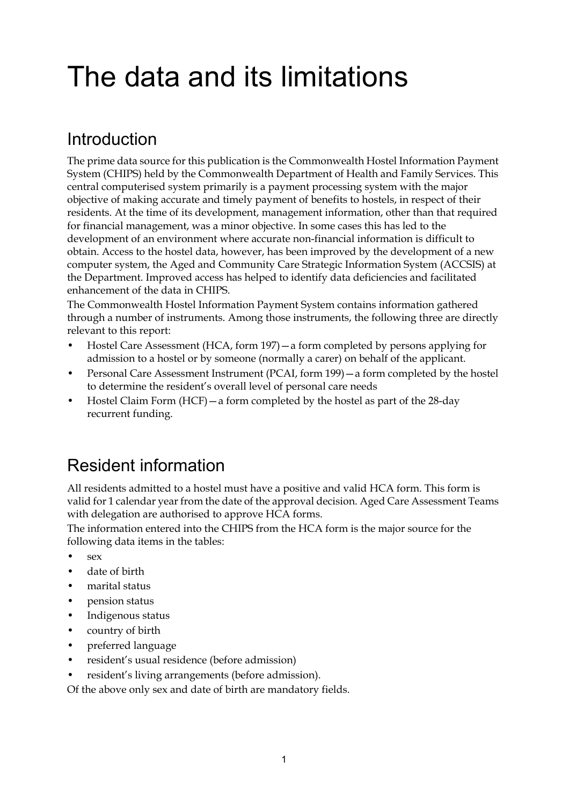# The data and its limitations

# Introduction

The prime data source for this publication is the Commonwealth Hostel Information Payment System (CHIPS) held by the Commonwealth Department of Health and Family Services. This central computerised system primarily is a payment processing system with the major objective of making accurate and timely payment of benefits to hostels, in respect of their residents. At the time of its development, management information, other than that required for financial management, was a minor objective. In some cases this has led to the development of an environment where accurate non-financial information is difficult to obtain. Access to the hostel data, however, has been improved by the development of a new computer system, the Aged and Community Care Strategic Information System (ACCSIS) at the Department. Improved access has helped to identify data deficiencies and facilitated enhancement of the data in CHIPS.

The Commonwealth Hostel Information Payment System contains information gathered through a number of instruments. Among those instruments, the following three are directly relevant to this report:

- Hostel Care Assessment (HCA, form 197)—a form completed by persons applying for admission to a hostel or by someone (normally a carer) on behalf of the applicant.
- Personal Care Assessment Instrument (PCAI, form 199)—a form completed by the hostel to determine the resident's overall level of personal care needs
- Hostel Claim Form (HCF)—a form completed by the hostel as part of the 28-day recurrent funding.

# Resident information

All residents admitted to a hostel must have a positive and valid HCA form. This form is valid for 1 calendar year from the date of the approval decision. Aged Care Assessment Teams with delegation are authorised to approve HCA forms.

The information entered into the CHIPS from the HCA form is the major source for the following data items in the tables:

- $\bullet$  sex
- date of birth
- marital status
- pension status
- Indigenous status
- country of birth
- preferred language
- resident's usual residence (before admission)
- resident's living arrangements (before admission).

Of the above only sex and date of birth are mandatory fields.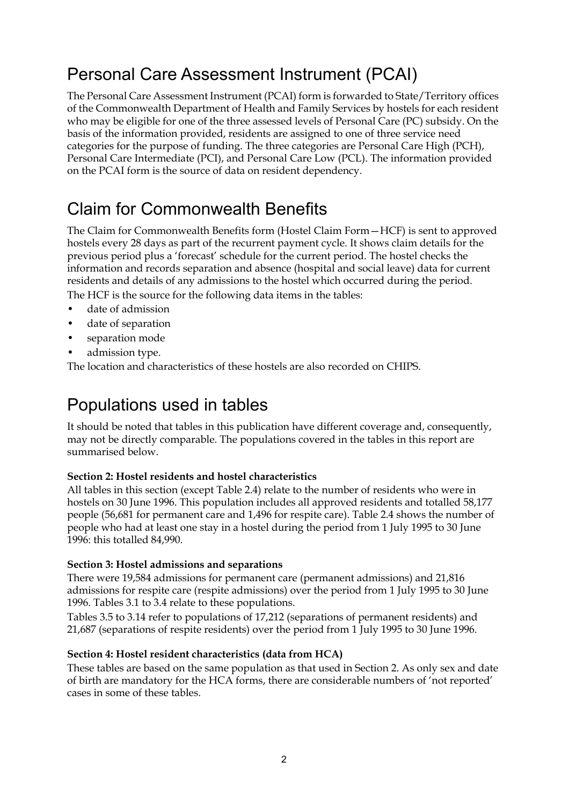# Personal Care Assessment Instrument (PCAI)

The Personal Care Assessment Instrument (PCAI) form is forwarded to State/Territory offices of the Commonwealth Department of Health and Family Services by hostels for each resident who may be eligible for one of the three assessed levels of Personal Care (PC) subsidy. On the basis of the information provided, residents are assigned to one of three service need categories for the purpose of funding. The three categories are Personal Care High (PCH), Personal Care Intermediate (PCI), and Personal Care Low (PCL). The information provided on the PCAI form is the source of data on resident dependency.

### Claim for Commonwealth Benefits

The Claim for Commonwealth Benefits form (Hostel Claim Form—HCF) is sent to approved hostels every 28 days as part of the recurrent payment cycle. It shows claim details for the previous period plus a 'forecast' schedule for the current period. The hostel checks the information and records separation and absence (hospital and social leave) data for current residents and details of any admissions to the hostel which occurred during the period.

The HCF is the source for the following data items in the tables:

- date of admission
- date of separation
- separation mode
- admission type.

The location and characteristics of these hostels are also recorded on CHIPS.

### Populations used in tables

It should be noted that tables in this publication have different coverage and, consequently, may not be directly comparable. The populations covered in the tables in this report are summarised below.

#### **Section 2: Hostel residents and hostel characteristics**

All tables in this section (except Table 2.4) relate to the number of residents who were in hostels on 30 June 1996. This population includes all approved residents and totalled 58,177 people (56,681 for permanent care and 1,496 for respite care). Table 2.4 shows the number of people who had at least one stay in a hostel during the period from 1 July 1995 to 30 June 1996: this totalled 84,990.

#### **Section 3: Hostel admissions and separations**

There were 19,584 admissions for permanent care (permanent admissions) and 21,816 admissions for respite care (respite admissions) over the period from 1 July 1995 to 30 June 1996. Tables 3.1 to 3.4 relate to these populations.

Tables 3.5 to 3.14 refer to populations of 17,212 (separations of permanent residents) and 21,687 (separations of respite residents) over the period from 1 July 1995 to 30 June 1996.

#### **Section 4: Hostel resident characteristics (data from HCA)**

These tables are based on the same population as that used in Section 2. As only sex and date of birth are mandatory for the HCA forms, there are considerable numbers of 'not reported' cases in some of these tables.